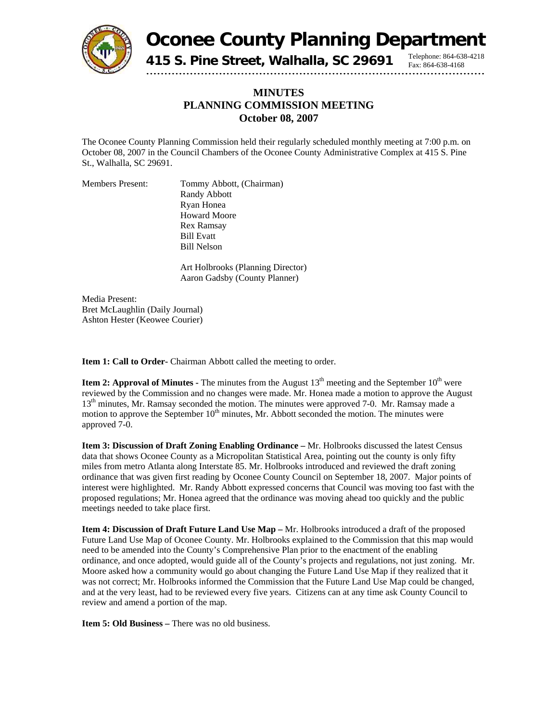

**Oconee County Planning Department**

Fax: 864-638-4168

**415 S. Pine Street, Walhalla, SC 29691** Telephone: 864-638-4218

## **MINUTES PLANNING COMMISSION MEETING October 08, 2007**

The Oconee County Planning Commission held their regularly scheduled monthly meeting at 7:00 p.m. on October 08, 2007 in the Council Chambers of the Oconee County Administrative Complex at 415 S. Pine St., Walhalla, SC 29691.

Members Present: Tommy Abbott, (Chairman) Randy Abbott Ryan Honea Howard Moore Rex Ramsay Bill Evatt Bill Nelson

> Art Holbrooks (Planning Director) Aaron Gadsby (County Planner)

Media Present: Bret McLaughlin (Daily Journal) Ashton Hester (Keowee Courier)

**Item 1: Call to Order-** Chairman Abbott called the meeting to order.

**Item 2: Approval of Minutes - The minutes from the August**  $13<sup>th</sup>$  **meeting and the September**  $10<sup>th</sup>$  **were** reviewed by the Commission and no changes were made. Mr. Honea made a motion to approve the August  $13<sup>th</sup>$  minutes, Mr. Ramsay seconded the motion. The minutes were approved 7-0. Mr. Ramsay made a motion to approve the September  $10<sup>th</sup>$  minutes, Mr. Abbott seconded the motion. The minutes were approved 7-0.

**Item 3: Discussion of Draft Zoning Enabling Ordinance –** Mr. Holbrooks discussed the latest Census data that shows Oconee County as a Micropolitan Statistical Area, pointing out the county is only fifty miles from metro Atlanta along Interstate 85. Mr. Holbrooks introduced and reviewed the draft zoning ordinance that was given first reading by Oconee County Council on September 18, 2007. Major points of interest were highlighted. Mr. Randy Abbott expressed concerns that Council was moving too fast with the proposed regulations; Mr. Honea agreed that the ordinance was moving ahead too quickly and the public meetings needed to take place first.

**Item 4: Discussion of Draft Future Land Use Map –** Mr. Holbrooks introduced a draft of the proposed Future Land Use Map of Oconee County. Mr. Holbrooks explained to the Commission that this map would need to be amended into the County's Comprehensive Plan prior to the enactment of the enabling ordinance, and once adopted, would guide all of the County's projects and regulations, not just zoning. Mr. Moore asked how a community would go about changing the Future Land Use Map if they realized that it was not correct; Mr. Holbrooks informed the Commission that the Future Land Use Map could be changed, and at the very least, had to be reviewed every five years. Citizens can at any time ask County Council to review and amend a portion of the map.

**Item 5: Old Business – There was no old business.**